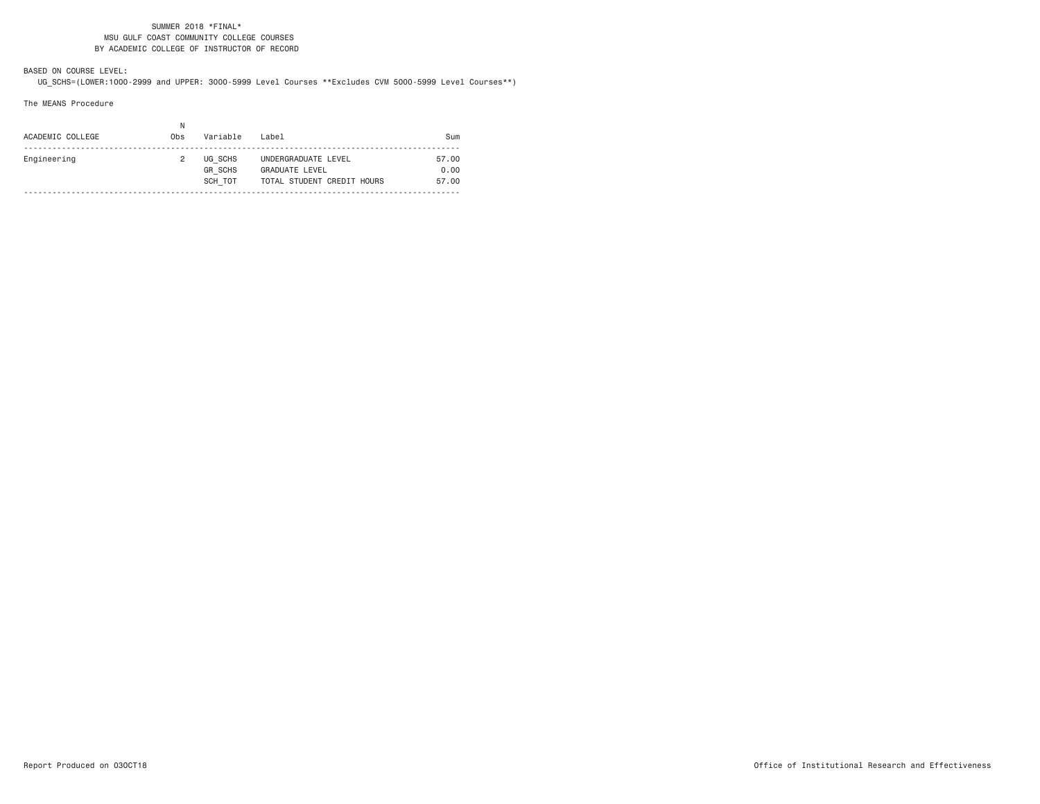### SUMMER 2018 \*FINAL\* MSU GULF COAST COMMUNITY COLLEGE COURSES BY ACADEMIC COLLEGE OF INSTRUCTOR OF RECORD

BASED ON COURSE LEVEL:UG\_SCHS=(LOWER:1000-2999 and UPPER: 3000-5999 Level Courses \*\*Excludes CVM 5000-5999 Level Courses\*\*)

The MEANS Procedure

| ACADEMIC COLLEGE | N<br>0bs | Variable                             | Label                                                                      | Sum                    |
|------------------|----------|--------------------------------------|----------------------------------------------------------------------------|------------------------|
| Engineering      |          | UG SCHS<br><b>GR SCHS</b><br>SCH TOT | UNDERGRADUATE LEVEL<br><b>GRADUATE LEVEL</b><br>TOTAL STUDENT CREDIT HOURS | 57.00<br>0.00<br>57.00 |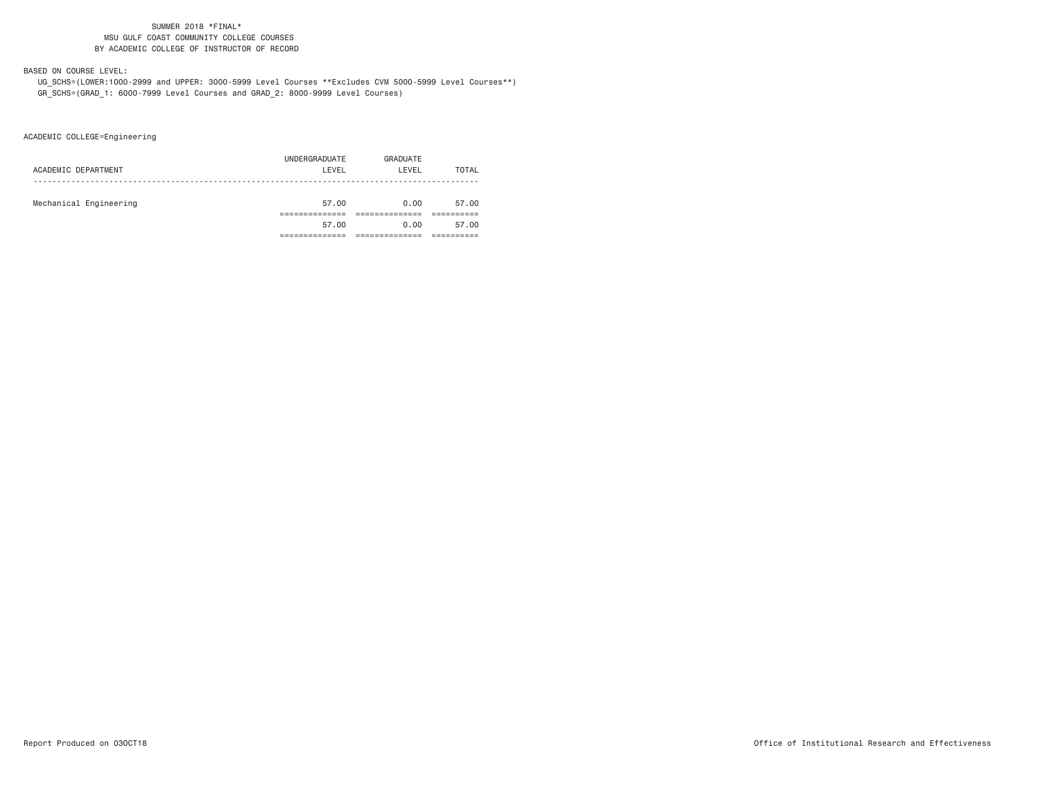### SUMMER 2018 \*FINAL\* MSU GULF COAST COMMUNITY COLLEGE COURSESBY ACADEMIC COLLEGE OF INSTRUCTOR OF RECORD

## BASED ON COURSE LEVEL:

 UG\_SCHS=(LOWER:1000-2999 and UPPER: 3000-5999 Level Courses \*\*Excludes CVM 5000-5999 Level Courses\*\*) GR\_SCHS=(GRAD\_1: 6000-7999 Level Courses and GRAD\_2: 8000-9999 Level Courses)

ACADEMIC COLLEGE=Engineering

| ACADEMIC DEPARTMENT    | UNDERGRADUATE<br>LEVEL | GRADUATE<br>LEVEL | TOTAL |
|------------------------|------------------------|-------------------|-------|
| Mechanical Engineering | 57.00                  | 0.00              | 57.00 |
|                        | 57.00                  | 0.00              | 57.00 |
|                        |                        |                   |       |